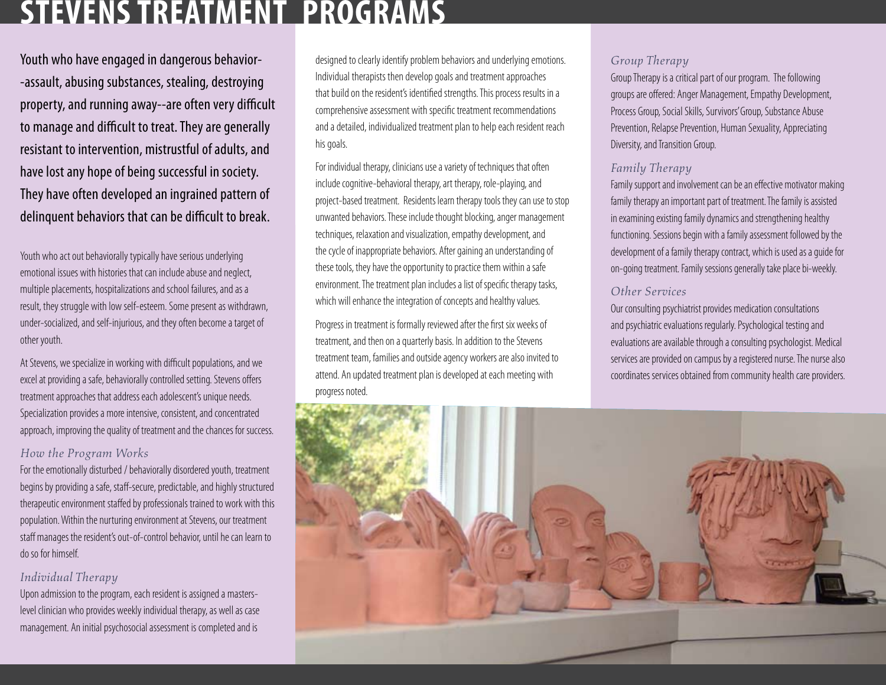## **StevensTreatment programs**

Youth who have engaged in dangerous behavior- -assault, abusing substances, stealing, destroying property, and running away--are often very difficult to manage and difficult to treat. They are generally resistant to intervention, mistrustful of adults, and have lost any hope of being successful in society. They have often developed an ingrained pattern of delinquent behaviors that can be difficult to break.

Youth who act out behaviorally typically have serious underlying emotional issues with histories that can include abuse and neglect, multiple placements, hospitalizations and school failures, and as a result, they struggle with low self-esteem. Some present as withdrawn, under-socialized, and self-injurious, and they often become a target of other youth.

At Stevens, we specialize in working with difficult populations, and we excel at providing a safe, behaviorally controlled setting. Stevens offers treatment approaches that address each adolescent's unique needs. Specialization provides a more intensive, consistent, and concentrated approach, improving the quality of treatment and the chances for success.

#### *How the Program Works*

For the emotionally disturbed / behaviorally disordered youth, treatment begins by providing a safe, staff-secure, predictable, and highly structured therapeutic environment staffed by professionals trained to work with this population. Within the nurturing environment at Stevens, our treatment staff manages the resident's out-of-control behavior, until he can learn to do so for himself.

#### *Individual Therapy*

Upon admission to the program, each resident is assigned a masterslevel clinician who provides weekly individual therapy, as well as case management. An initial psychosocial assessment is completed and is

designed to clearly identify problem behaviors and underlying emotions. Individual therapists then develop goals and treatment approaches that build on the resident's identified strengths. This process results in a comprehensive assessment with specific treatment recommendations and a detailed, individualized treatment plan to help each resident reach his goals.

For individual therapy, clinicians use a variety of techniques that often include cognitive-behavioral therapy, art therapy, role-playing, and project-based treatment. Residents learn therapy tools they can use to stop unwanted behaviors. These include thought blocking, anger management techniques, relaxation and visualization, empathy development, and the cycle of inappropriate behaviors. After gaining an understanding of these tools, they have the opportunity to practice them within a safe environment. The treatment plan includes a list of specific therapy tasks, which will enhance the integration of concepts and healthy values.

Progress in treatment is formally reviewed after the first six weeks of treatment, and then on a quarterly basis. In addition to the Stevens treatment team, families and outside agency workers are also invited to attend. An updated treatment plan is developed at each meeting with progress noted.

#### *Group Therapy*

Group Therapy is a critical part of our program. The following groups are offered: Anger Management, Empathy Development, Process Group, Social Skills, Survivors' Group, Substance Abuse Prevention, Relapse Prevention, Human Sexuality, Appreciating Diversity, and Transition Group.

#### *Family Therapy*

Family support and involvement can be an effective motivator making family therapy an important part of treatment. The family is assisted in examining existing family dynamics and strengthening healthy functioning. Sessions begin with a family assessment followed by the development of a family therapy contract, which is used as a guide for on-going treatment. Family sessions generally take place bi-weekly.

#### *Other Services*

Our consulting psychiatrist provides medication consultations and psychiatric evaluations regularly. Psychological testing and evaluations are available through a consulting psychologist. Medical services are provided on campus by a registered nurse. The nurse also coordinates services obtained from community health care providers.